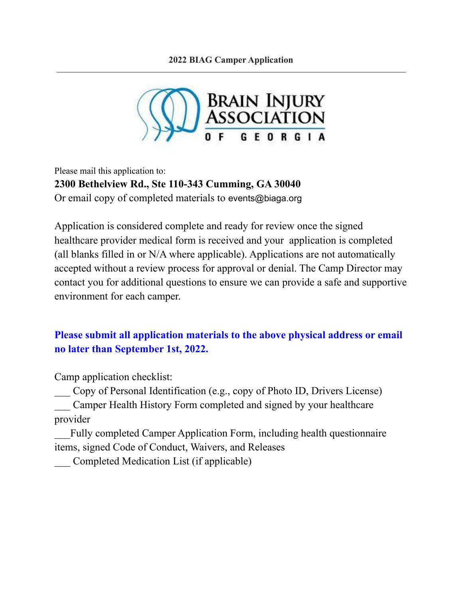

Please mail this application to: **2300 Bethelview Rd., Ste 110-343 Cumming, GA 30040** Or email copy of completed materials to events@biaga.org

Application is considered complete and ready for review once the signed healthcare provider medical form is received and your application is completed (all blanks filled in or N/A where applicable). Applications are not automatically accepted without a review process for approval or denial. The Camp Director may contact you for additional questions to ensure we can provide a safe and supportive environment for each camper.

# **Please submit all application materials to the above physical address or email no later than September 1st, 2022.**

Camp application checklist:

\_\_\_ Copy of Personal Identification (e.g., copy of Photo ID, Drivers License) Camper Health History Form completed and signed by your healthcare provider

Fully completed Camper Application Form, including health questionnaire items, signed Code of Conduct, Waivers, and Releases

\_\_\_ Completed Medication List (if applicable)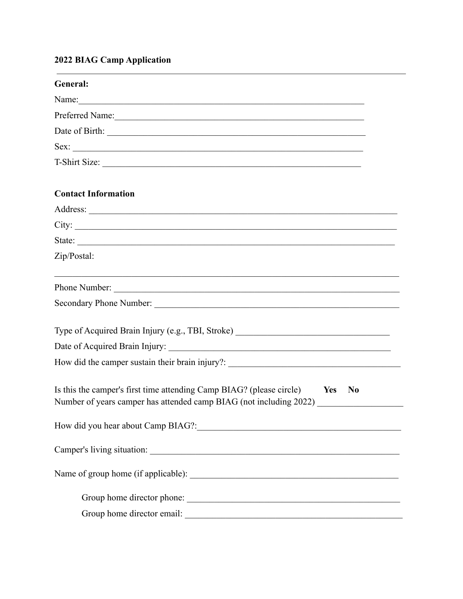# 2022 BIAG Camp Application

| General:                                                                                                                                                         |
|------------------------------------------------------------------------------------------------------------------------------------------------------------------|
| Name:                                                                                                                                                            |
| Preferred Name:                                                                                                                                                  |
|                                                                                                                                                                  |
|                                                                                                                                                                  |
| T-Shirt Size:                                                                                                                                                    |
| <b>Contact Information</b>                                                                                                                                       |
|                                                                                                                                                                  |
| City:                                                                                                                                                            |
| State:                                                                                                                                                           |
| Zip/Postal:                                                                                                                                                      |
| Phone Number:                                                                                                                                                    |
|                                                                                                                                                                  |
| Type of Acquired Brain Injury (e.g., TBI, Stroke) _______________________________                                                                                |
|                                                                                                                                                                  |
| How did the camper sustain their brain injury?: _________________________________                                                                                |
| Is this the camper's first time attending Camp BIAG? (please circle) Ves No<br>Number of years camper has attended camp BIAG (not including 2022) ______________ |
|                                                                                                                                                                  |
|                                                                                                                                                                  |
|                                                                                                                                                                  |
| Group home director phone:                                                                                                                                       |
|                                                                                                                                                                  |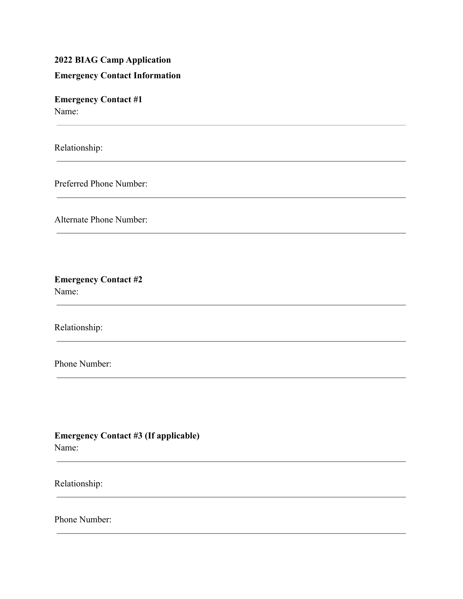# **2022 BIAG Camp Application**

### **Emergency Contact Information**

**Emergency Contact #1** Name:

Relationship:

 $\sim$ 

Preferred Phone Number:

Alternate Phone Number:

### **Emergency Contact #2** Name:

Relationship:

Phone Number:

**Emergency Contact #3 (If applicable)** Name:

Relationship:

 $\sim$ 

Phone Number: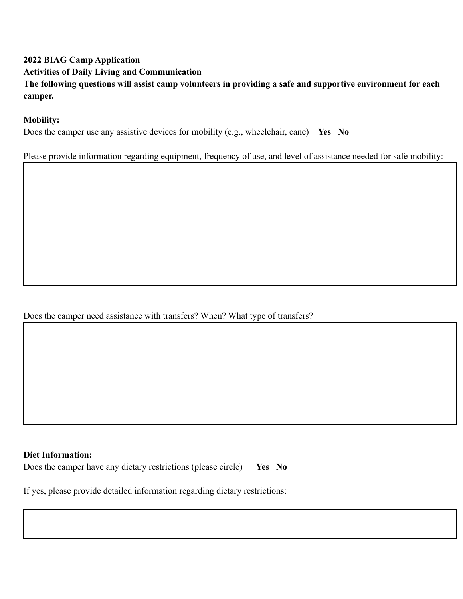# **2022 BIAG Camp Application**

**Activities of Daily Living and Communication**

**The following questions will assist camp volunteers in providing a safe and supportive environment for each camper.**

# **Mobility:**

Does the camper use any assistive devices for mobility (e.g., wheelchair, cane) **Yes No**

Please provide information regarding equipment, frequency of use, and level of assistance needed for safe mobility:

# Does the camper need assistance with transfers? When? What type of transfers?

#### **Diet Information:**

Does the camper have any dietary restrictions (please circle) **Yes No**

If yes, please provide detailed information regarding dietary restrictions: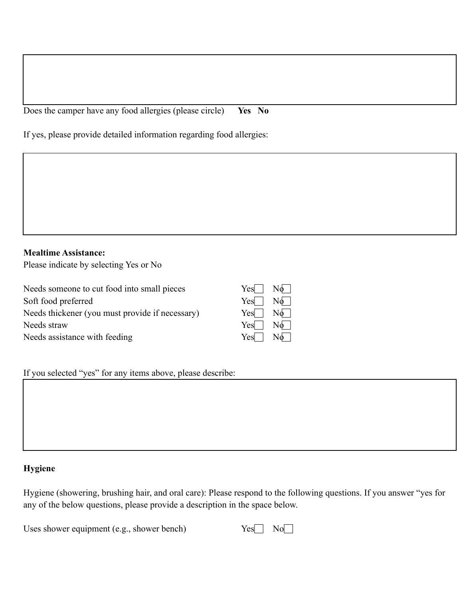Does the camper have any food allergies (please circle) **Yes No**

If yes, please provide detailed information regarding food allergies:

### **Mealtime Assistance:**

Please indicate by selecting Yes or No

Needs someone to cut food into small pieces Soft food preferred Needs thickener (you must provide if necessary) Needs straw Needs assistance with feeding

| Yes | No |
|-----|----|
| Yes | No |
| Yes | No |
| Yes | No |
| Yes |    |

If you selected "yes" for any items above, please describe:

### **Hygiene**

Hygiene (showering, brushing hair, and oral care): Please respond to the following questions. If you answer "yes for any of the below questions, please provide a description in the space below.

Uses shower equipment  $(e.g., shown)$ 

| − | ١ |
|---|---|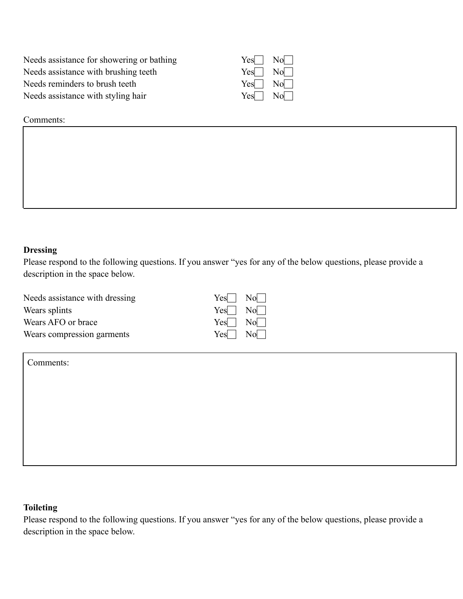Needs assistance for showering or bathing Y Needs assistance with brushing teeth Y Needs reminders to brush teeth Y Needs assistance with styling hair Y

| es   | No             |
|------|----------------|
| es   | No             |
| es   | Nol            |
| ∕es∣ | N <sub>0</sub> |

Comments:

#### **Dressing**

Please respond to the following questions. If you answer "yes for any of the below questions, please provide a description in the space below.

Needs assistance with dressing  $Yes \rightharpoonup No \rightharpoonup$ Wears splints  $Yes \rightharpoonup No \rightharpoonup$ Wears AFO or brace  $Yes \Box \ No \Box$ Wears compression garments  $Yes \rightharpoonup No \rightharpoonup$ 



Comments:

#### **Toileting**

Please respond to the following questions. If you answer "yes for any of the below questions, please provide a description in the space below.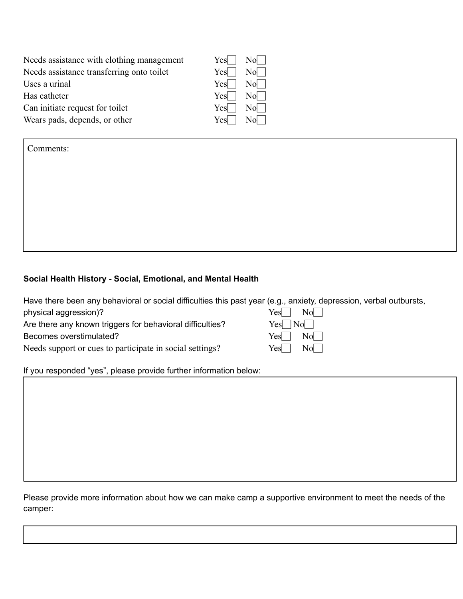| Needs assistance with clothing management | Yes  | Nol I   |
|-------------------------------------------|------|---------|
| Needs assistance transferring onto toilet | Yesl | Nol     |
| Uses a urinal                             | Yesl | $Nol$ 1 |
| Has catheter                              | Yesl | $Nol$ 1 |
| Can initiate request for toilet           | Yesl | Nol L   |
| Wears pads, depends, or other             | Yesl |         |

Comments:

#### **Social Health History - Social, Emotional, and Mental Health**

Have there been any behavioral or social difficulties this past year (e.g., anxiety, depression, verbal outbursts, physical aggression)?  $\text{Yes} \Box \text{No} \Box$ Are there any known triggers for behavioral difficulties?  $Yes \Box No \Box$ Becomes overstimulated?  $Yes \Box \ No \Box$ Needs support or cues to participate in social settings?  $Yes \Box \ No$ 

If you responded "yes", please provide further information below:

Please provide more information about how we can make camp a supportive environment to meet the needs of the camper: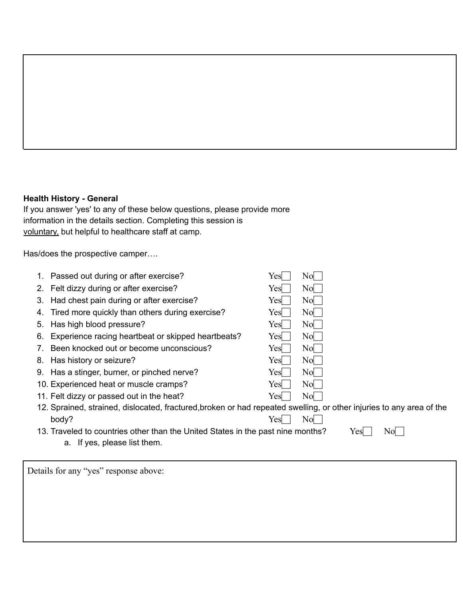### **Health History - General**

If you answer 'yes' to any of these below questions, please provide more information in the details section. Completing this session is voluntary, but helpful to healthcare staff at camp.

Has/does the prospective camper….

| Passed out during or after exercise?                                                                                         | N <sub>0</sub><br>Yes  |  |  |  |
|------------------------------------------------------------------------------------------------------------------------------|------------------------|--|--|--|
| 2. Felt dizzy during or after exercise?                                                                                      | N <sub>0</sub><br>Yes  |  |  |  |
| Had chest pain during or after exercise?<br>3.                                                                               | N <sub>0</sub><br>Yes  |  |  |  |
| Tired more quickly than others during exercise?<br>4.                                                                        | N <sub>0</sub><br>Yes  |  |  |  |
| Has high blood pressure?<br>5.                                                                                               | N <sub>0</sub><br>Yes  |  |  |  |
| Experience racing heartbeat or skipped heartbeats?<br>6.                                                                     | N <sub>0</sub><br>Yes  |  |  |  |
| Been knocked out or become unconscious?<br>$7_{\scriptscriptstyle{\sim}}$                                                    | N <sub>0</sub><br>Yes  |  |  |  |
| Has history or seizure?<br>8.                                                                                                | N <sub>0</sub><br>Yes  |  |  |  |
| Has a stinger, burner, or pinched nerve?<br>9.                                                                               | N <sub>0</sub><br>Yes  |  |  |  |
| 10. Experienced heat or muscle cramps?                                                                                       | N <sub>0</sub><br>Yes  |  |  |  |
| 11. Felt dizzy or passed out in the heat?                                                                                    | N <sub>0</sub><br>Yes  |  |  |  |
| 12. Sprained, strained, dislocated, fractured, broken or had repeated swelling, or other injuries to any area of the         |                        |  |  |  |
| body?                                                                                                                        | N <sub>0</sub><br>Yesl |  |  |  |
| 13. Traveled to countries other than the United States in the past nine months?<br>No<br>Yes<br>a. If yes, please list them. |                        |  |  |  |
|                                                                                                                              |                        |  |  |  |

Details for any "yes" response above: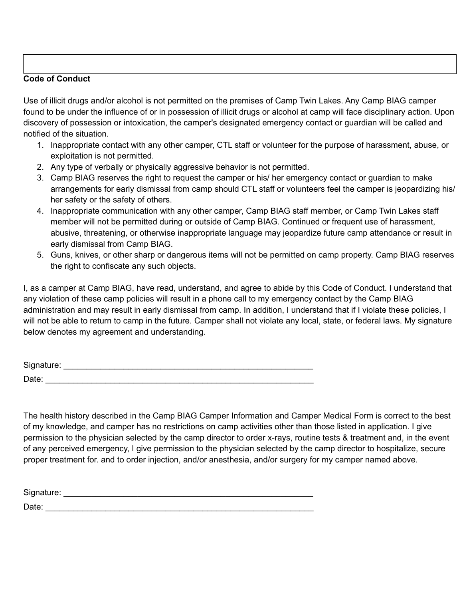### **Code of Conduct**

Use of illicit drugs and/or alcohol is not permitted on the premises of Camp Twin Lakes. Any Camp BIAG camper found to be under the influence of or in possession of illicit drugs or alcohol at camp will face disciplinary action. Upon discovery of possession or intoxication, the camper's designated emergency contact or guardian will be called and notified of the situation.

- 1. Inappropriate contact with any other camper, CTL staff or volunteer for the purpose of harassment, abuse, or exploitation is not permitted.
- 2. Any type of verbally or physically aggressive behavior is not permitted.
- 3. Camp BIAG reserves the right to request the camper or his/ her emergency contact or guardian to make arrangements for early dismissal from camp should CTL staff or volunteers feel the camper is jeopardizing his/ her safety or the safety of others.
- 4. Inappropriate communication with any other camper, Camp BIAG staff member, or Camp Twin Lakes staff member will not be permitted during or outside of Camp BIAG. Continued or frequent use of harassment, abusive, threatening, or otherwise inappropriate language may jeopardize future camp attendance or result in early dismissal from Camp BIAG.
- 5. Guns, knives, or other sharp or dangerous items will not be permitted on camp property. Camp BIAG reserves the right to confiscate any such objects.

I, as a camper at Camp BIAG, have read, understand, and agree to abide by this Code of Conduct. I understand that any violation of these camp policies will result in a phone call to my emergency contact by the Camp BIAG administration and may result in early dismissal from camp. In addition, I understand that if I violate these policies, I will not be able to return to camp in the future. Camper shall not violate any local, state, or federal laws. My signature below denotes my agreement and understanding.

| Signature: |  |
|------------|--|
| Date:      |  |

The health history described in the Camp BIAG Camper Information and Camper Medical Form is correct to the best of my knowledge, and camper has no restrictions on camp activities other than those listed in application. I give permission to the physician selected by the camp director to order x-rays, routine tests & treatment and, in the event of any perceived emergency, I give permission to the physician selected by the camp director to hospitalize, secure proper treatment for. and to order injection, and/or anesthesia, and/or surgery for my camper named above.

Signature: \_\_\_\_\_\_\_\_\_\_\_\_\_\_\_\_\_\_\_\_\_\_\_\_\_\_\_\_\_\_\_\_\_\_\_\_\_\_\_\_\_\_\_\_\_\_\_\_\_\_\_\_\_\_

Date: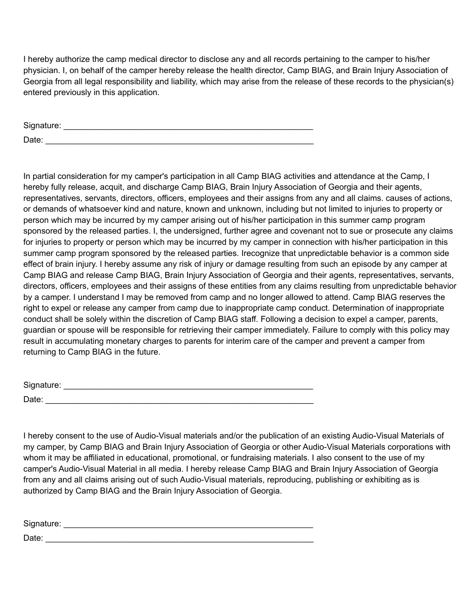I hereby authorize the camp medical director to disclose any and all records pertaining to the camper to his/her physician. I, on behalf of the camper hereby release the health director, Camp BIAG, and Brain Injury Association of Georgia from all legal responsibility and liability, which may arise from the release of these records to the physician(s) entered previously in this application.

| Signature: |  |  |
|------------|--|--|
| Date:      |  |  |

In partial consideration for my camper's participation in all Camp BIAG activities and attendance at the Camp, I hereby fully release, acquit, and discharge Camp BIAG, Brain Injury Association of Georgia and their agents, representatives, servants, directors, officers, employees and their assigns from any and all claims. causes of actions, or demands of whatsoever kind and nature, known and unknown, including but not limited to injuries to property or person which may be incurred by my camper arising out of his/her participation in this summer camp program sponsored by the released parties. I, the undersigned, further agree and covenant not to sue or prosecute any claims for injuries to property or person which may be incurred by my camper in connection with his/her participation in this summer camp program sponsored by the released parties. Irecognize that unpredictable behavior is a common side effect of brain injury. I hereby assume any risk of injury or damage resulting from such an episode by any camper at Camp BIAG and release Camp BIAG, Brain Injury Association of Georgia and their agents, representatives, servants, directors, officers, employees and their assigns of these entities from any claims resulting from unpredictable behavior by a camper. I understand I may be removed from camp and no longer allowed to attend. Camp BIAG reserves the right to expel or release any camper from camp due to inappropriate camp conduct. Determination of inappropriate conduct shall be solely within the discretion of Camp BIAG staff. Following a decision to expel a camper, parents, guardian or spouse will be responsible for retrieving their camper immediately. Failure to comply with this policy may result in accumulating monetary charges to parents for interim care of the camper and prevent a camper from returning to Camp BIAG in the future.

| Signature: |  |  |  |
|------------|--|--|--|
| Date:      |  |  |  |

I hereby consent to the use of Audio-Visual materials and/or the publication of an existing Audio-Visual Materials of my camper, by Camp BIAG and Brain Injury Association of Georgia or other Audio-Visual Materials corporations with whom it may be affiliated in educational, promotional, or fundraising materials. I also consent to the use of my camper's Audio-Visual Material in all media. I hereby release Camp BIAG and Brain Injury Association of Georgia from any and all claims arising out of such Audio-Visual materials, reproducing, publishing or exhibiting as is authorized by Camp BIAG and the Brain Injury Association of Georgia.

| Signature: |  |  |
|------------|--|--|
| Date:      |  |  |